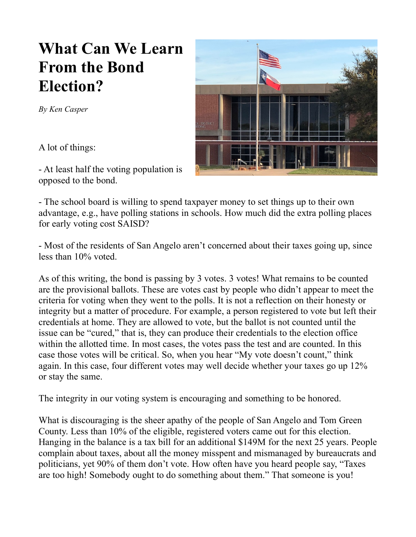## **What Can We Learn From the Bond Election?**

*By Ken Casper*

A lot of things:

- At least half the voting population is opposed to the bond.

- The school board is willing to spend taxpayer money to set things up to their own advantage, e.g., have polling stations in schools. How much did the extra polling places for early voting cost SAISD?

- Most of the residents of San Angelo aren't concerned about their taxes going up, since less than 10% voted.

As of this writing, the bond is passing by 3 votes. 3 votes! What remains to be counted are the provisional ballots. These are votes cast by people who didn't appear to meet the criteria for voting when they went to the polls. It is not a reflection on their honesty or integrity but a matter of procedure. For example, a person registered to vote but left their credentials at home. They are allowed to vote, but the ballot is not counted until the issue can be "cured," that is, they can produce their credentials to the election office within the allotted time. In most cases, the votes pass the test and are counted. In this case those votes will be critical. So, when you hear "My vote doesn't count," think again. In this case, four different votes may well decide whether your taxes go up 12% or stay the same.

The integrity in our voting system is encouraging and something to be honored.

What is discouraging is the sheer apathy of the people of San Angelo and Tom Green County. Less than 10% of the eligible, registered voters came out for this election. Hanging in the balance is a tax bill for an additional \$149M for the next 25 years. People complain about taxes, about all the money misspent and mismanaged by bureaucrats and politicians, yet 90% of them don't vote. How often have you heard people say, "Taxes are too high! Somebody ought to do something about them." That someone is you!

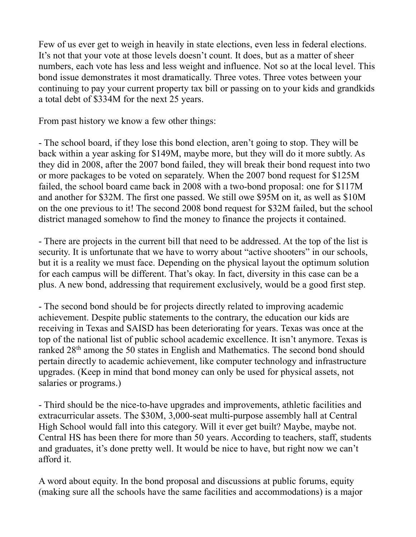Few of us ever get to weigh in heavily in state elections, even less in federal elections. It's not that your vote at those levels doesn't count. It does, but as a matter of sheer numbers, each vote has less and less weight and influence. Not so at the local level. This bond issue demonstrates it most dramatically. Three votes. Three votes between your continuing to pay your current property tax bill or passing on to your kids and grandkids a total debt of \$334M for the next 25 years.

From past history we know a few other things:

- The school board, if they lose this bond election, aren't going to stop. They will be back within a year asking for \$149M, maybe more, but they will do it more subtly. As they did in 2008, after the 2007 bond failed, they will break their bond request into two or more packages to be voted on separately. When the 2007 bond request for \$125M failed, the school board came back in 2008 with a two-bond proposal: one for \$117M and another for \$32M. The first one passed. We still owe \$95M on it, as well as \$10M on the one previous to it! The second 2008 bond request for \$32M failed, but the school district managed somehow to find the money to finance the projects it contained.

- There are projects in the current bill that need to be addressed. At the top of the list is security. It is unfortunate that we have to worry about "active shooters" in our schools, but it is a reality we must face. Depending on the physical layout the optimum solution for each campus will be different. That's okay. In fact, diversity in this case can be a plus. A new bond, addressing that requirement exclusively, would be a good first step.

- The second bond should be for projects directly related to improving academic achievement. Despite public statements to the contrary, the education our kids are receiving in Texas and SAISD has been deteriorating for years. Texas was once at the top of the national list of public school academic excellence. It isn't anymore. Texas is ranked 28th among the 50 states in English and Mathematics. The second bond should pertain directly to academic achievement, like computer technology and infrastructure upgrades. (Keep in mind that bond money can only be used for physical assets, not salaries or programs.)

- Third should be the nice-to-have upgrades and improvements, athletic facilities and extracurricular assets. The \$30M, 3,000-seat multi-purpose assembly hall at Central High School would fall into this category. Will it ever get built? Maybe, maybe not. Central HS has been there for more than 50 years. According to teachers, staff, students and graduates, it's done pretty well. It would be nice to have, but right now we can't afford it.

A word about equity. In the bond proposal and discussions at public forums, equity (making sure all the schools have the same facilities and accommodations) is a major